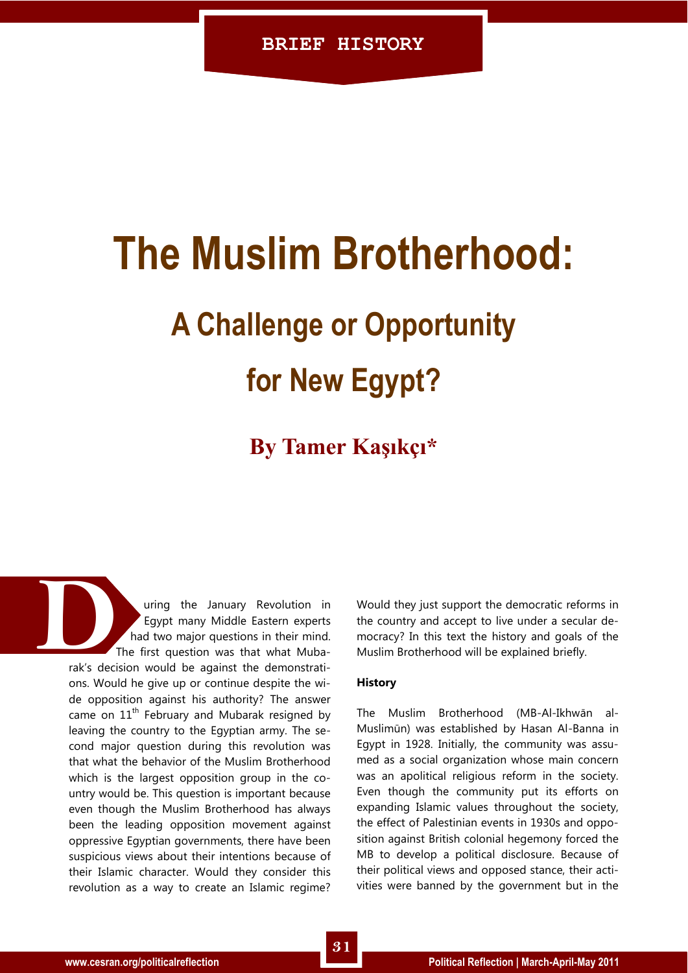## **The Muslim Brotherhood:**

# **A Challenge or Opportunity**

## **for New Egypt?**

## **By Tamer Kaşıkçı\***

uring the January Revolution in Egypt many Middle Eastern experts had two major questions in their mind. The first question was that what Mubarak's decision would be against the demonstrations. Would he give up or continue despite the wide opposition against his authority? The answer came on  $11<sup>th</sup>$  February and Mubarak resigned by leaving the country to the Egyptian army. The second major question during this revolution was that what the behavior of the Muslim Brotherhood which is the largest opposition group in the country would be. This question is important because even though the Muslim Brotherhood has always been the leading opposition movement against oppressive Egyptian governments, there have been suspicious views about their intentions because of their Islamic character. Would they consider this revolution as a way to create an Islamic regime? rak's deci

Would they just support the democratic reforms in the country and accept to live under a secular democracy? In this text the history and goals of the Muslim Brotherhood will be explained briefly.

### **History**

The Muslim Brotherhood (MB-Al-Ikhwān al-Muslimūn) was established by Hasan Al-Banna in Egypt in 1928. Initially, the community was assumed as a social organization whose main concern was an apolitical religious reform in the society. Even though the community put its efforts on expanding Islamic values throughout the society, the effect of Palestinian events in 1930s and opposition against British colonial hegemony forced the MB to develop a political disclosure. Because of their political views and opposed stance, their activities were banned by the government but in the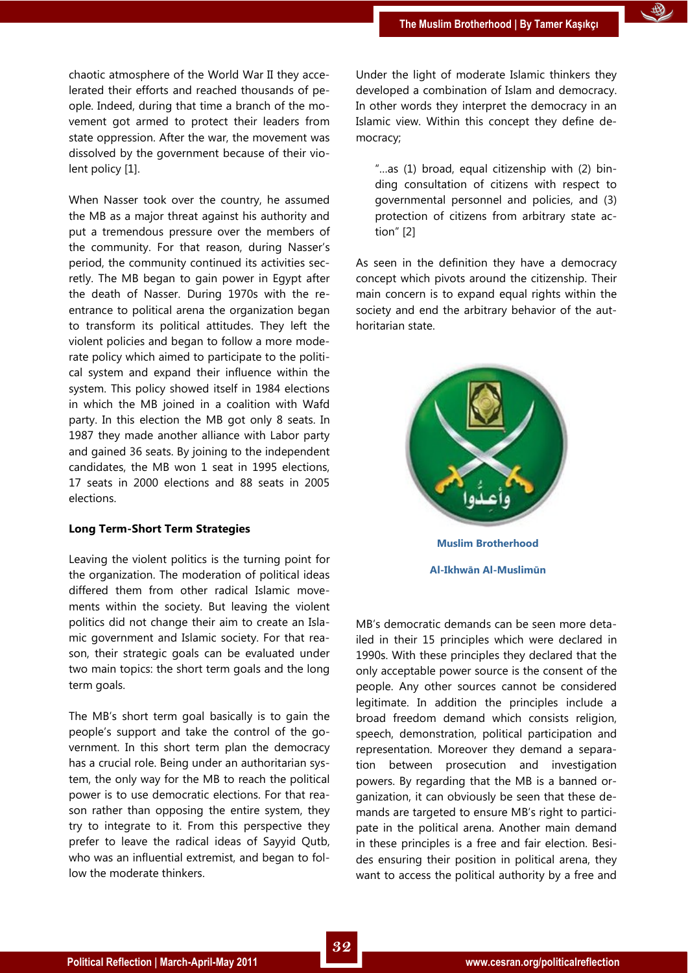chaotic atmosphere of the World War II they accelerated their efforts and reached thousands of people. Indeed, during that time a branch of the movement got armed to protect their leaders from state oppression. After the war, the movement was dissolved by the government because of their violent policy [1].

When Nasser took over the country, he assumed the MB as a major threat against his authority and put a tremendous pressure over the members of the community. For that reason, during Nasser's period, the community continued its activities secretly. The MB began to gain power in Egypt after the death of Nasser. During 1970s with the reentrance to political arena the organization began to transform its political attitudes. They left the violent policies and began to follow a more moderate policy which aimed to participate to the political system and expand their influence within the system. This policy showed itself in 1984 elections in which the MB joined in a coalition with Wafd party. In this election the MB got only 8 seats. In 1987 they made another alliance with Labor party and gained 36 seats. By joining to the independent candidates, the MB won 1 seat in 1995 elections, 17 seats in 2000 elections and 88 seats in 2005 elections.

#### **Long Term-Short Term Strategies**

Leaving the violent politics is the turning point for the organization. The moderation of political ideas differed them from other radical Islamic movements within the society. But leaving the violent politics did not change their aim to create an Islamic government and Islamic society. For that reason, their strategic goals can be evaluated under two main topics: the short term goals and the long term goals.

The MB's short term goal basically is to gain the people's support and take the control of the government. In this short term plan the democracy has a crucial role. Being under an authoritarian system, the only way for the MB to reach the political power is to use democratic elections. For that reason rather than opposing the entire system, they try to integrate to it. From this perspective they prefer to leave the radical ideas of Sayyid Qutb, who was an influential extremist, and began to follow the moderate thinkers.

Under the light of moderate Islamic thinkers they developed a combination of Islam and democracy. In other words they interpret the democracy in an Islamic view. Within this concept they define democracy;

'…as (1) broad, equal citizenship with (2) binding consultation of citizens with respect to governmental personnel and policies, and (3) protection of citizens from arbitrary state action $"$  [2]

As seen in the definition they have a democracy concept which pivots around the citizenship. Their main concern is to expand equal rights within the society and end the arbitrary behavior of the authoritarian state.



MB's democratic demands can be seen more detailed in their 15 principles which were declared in 1990s. With these principles they declared that the only acceptable power source is the consent of the people. Any other sources cannot be considered legitimate. In addition the principles include a broad freedom demand which consists religion, speech, demonstration, political participation and representation. Moreover they demand a separation between prosecution and investigation powers. By regarding that the MB is a banned organization, it can obviously be seen that these demands are targeted to ensure MB's right to participate in the political arena. Another main demand in these principles is a free and fair election. Besides ensuring their position in political arena, they want to access the political authority by a free and